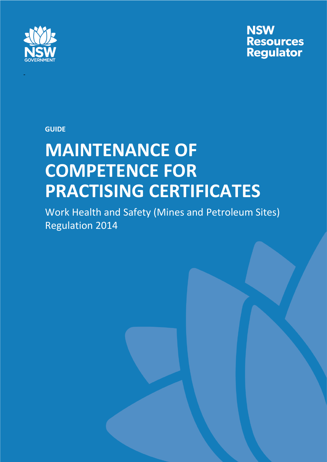

-



**GUIDE**

# **MAINTENANCE OF COMPETENCE FOR PRACTISING CERTIFICATES**

Work Health and Safety (Mines and Petroleum Sites) Regulation 2014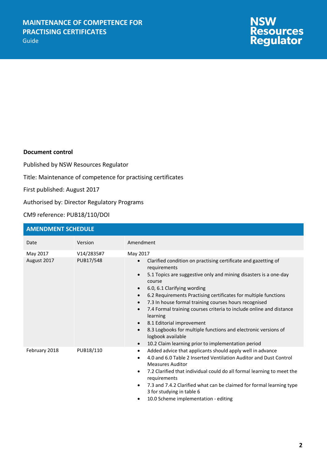#### **Document control**

Published by NSW Resources Regulator

Title: Maintenance of competence for practising certificates

First published: August 2017

Authorised by: Director Regulatory Programs

CM9 reference: PUB18/110/DOI

| <b>AMENDMENT SCHEDULE</b> |            |                                                                                                                                                                                                                                                                                                                                                                                                                                                                                                                                                                                                                                                                                                           |  |  |  |  |
|---------------------------|------------|-----------------------------------------------------------------------------------------------------------------------------------------------------------------------------------------------------------------------------------------------------------------------------------------------------------------------------------------------------------------------------------------------------------------------------------------------------------------------------------------------------------------------------------------------------------------------------------------------------------------------------------------------------------------------------------------------------------|--|--|--|--|
| Date                      | Version    | Amendment                                                                                                                                                                                                                                                                                                                                                                                                                                                                                                                                                                                                                                                                                                 |  |  |  |  |
| May 2017                  | V14/2835#7 | May 2017                                                                                                                                                                                                                                                                                                                                                                                                                                                                                                                                                                                                                                                                                                  |  |  |  |  |
| August 2017               | PUB17/548  | Clarified condition on practising certificate and gazetting of<br>$\bullet$<br>requirements<br>5.1 Topics are suggestive only and mining disasters is a one-day<br>$\bullet$<br>course<br>6.0, 6.1 Clarifying wording<br>$\bullet$<br>6.2 Requirements Practising certificates for multiple functions<br>$\bullet$<br>7.3 In house formal training courses hours recognised<br>$\bullet$<br>7.4 Formal training courses criteria to include online and distance<br>$\bullet$<br>learning<br>8.1 Editorial improvement<br>$\bullet$<br>8.3 Logbooks for multiple functions and electronic versions of<br>$\bullet$<br>logbook available<br>10.2 Claim learning prior to implementation period<br>$\bullet$ |  |  |  |  |
| February 2018             | PUB18/110  | Added advice that applicants should apply well in advance<br>$\bullet$<br>4.0 and 6.0 Table 2 Inserted Ventilation Auditor and Dust Control<br>$\bullet$<br><b>Measures Auditor</b><br>7.2 Clarified that individual could do all formal learning to meet the<br>$\bullet$<br>requirements<br>7.3 and 7.4.2 Clarified what can be claimed for formal learning type<br>$\bullet$<br>3 for studying in table 6<br>10.0 Scheme implementation - editing<br>$\bullet$                                                                                                                                                                                                                                         |  |  |  |  |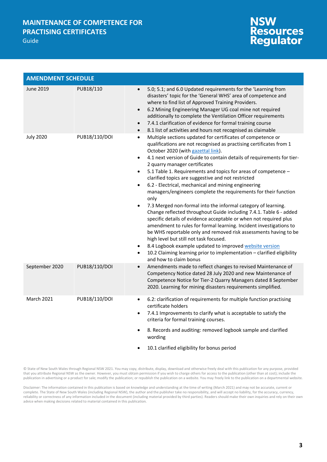**NSW<br>Resources<br>Regulator** 

| <b>AMENDMENT SCHEDULE</b> |               |                                                                                                                                                                                                                                                                                                                                                                                                                                                                                                                                                                                                                                                                                                                                                                                                                                                                                                                                                                                                                                                                                                                                                                                                         |  |  |  |
|---------------------------|---------------|---------------------------------------------------------------------------------------------------------------------------------------------------------------------------------------------------------------------------------------------------------------------------------------------------------------------------------------------------------------------------------------------------------------------------------------------------------------------------------------------------------------------------------------------------------------------------------------------------------------------------------------------------------------------------------------------------------------------------------------------------------------------------------------------------------------------------------------------------------------------------------------------------------------------------------------------------------------------------------------------------------------------------------------------------------------------------------------------------------------------------------------------------------------------------------------------------------|--|--|--|
| June 2019                 | PUB18/110     | 5.0; 5.1; and 6.0 Updated requirements for the 'Learning from<br>$\bullet$<br>disasters' topic for the 'General WHS' area of competence and<br>where to find list of Approved Training Providers.<br>6.2 Mining Engineering Manager UG coal mine not required<br>$\bullet$<br>additionally to complete the Ventilation Officer requirements<br>7.4.1 clarification of evidence for formal training course<br>$\bullet$<br>8.1 list of activities and hours not recognised as claimable<br>$\bullet$                                                                                                                                                                                                                                                                                                                                                                                                                                                                                                                                                                                                                                                                                                     |  |  |  |
| <b>July 2020</b>          | PUB18/110/DOI | Multiple sections updated for certificates of competence or<br>$\bullet$<br>qualifications are not recognised as practising certificates from 1<br>October 2020 (with gazettal link).<br>4.1 next version of Guide to contain details of requirements for tier-<br>$\bullet$<br>2 quarry manager certificates<br>5.1 Table 1. Requirements and topics for areas of competence -<br>$\bullet$<br>clarified topics are suggestive and not restricted<br>6.2 - Electrical, mechanical and mining engineering<br>$\bullet$<br>managers/engineers complete the requirements for their function<br>only<br>7.3 Merged non-formal into the informal category of learning.<br>$\bullet$<br>Change reflected throughout Guide including 7.4.1. Table 6 - added<br>specific details of evidence acceptable or when not required plus<br>amendment to rules for formal learning. Incident investigations to<br>be WHS reportable only and removed risk assessments having to be<br>high level but still not task focused.<br>8.4 Logbook example updated to improved website version<br>$\bullet$<br>10.2 Claiming learning prior to implementation - clarified eligibility<br>$\bullet$<br>and how to claim bonus |  |  |  |
| September 2020            | PUB18/110/DOI | Amendments made to reflect changes to revised Maintenance of<br>$\bullet$<br>Competency Notice dated 28 July 2020 and new Maintenance of<br>Competence Notice for Tier-2 Quarry Managers dated 8 September<br>2020. Learning for mining disasters requirements simplified.                                                                                                                                                                                                                                                                                                                                                                                                                                                                                                                                                                                                                                                                                                                                                                                                                                                                                                                              |  |  |  |
| March 2021                | PUB18/110/DOI | 6.2: clarification of requirements for multiple function practising<br>$\bullet$<br>certificate holders<br>7.4.1 Improvements to clarify what is acceptable to satisfy the<br>$\bullet$<br>criteria for formal training courses.<br>8. Records and auditing: removed logbook sample and clarified<br>wording<br>10.1 clarified eligibility for bonus period<br>$\bullet$                                                                                                                                                                                                                                                                                                                                                                                                                                                                                                                                                                                                                                                                                                                                                                                                                                |  |  |  |

© State of New South Wales through Regional NSW 2021. You may copy, distribute, display, download and otherwise freely deal with this publication for any purpose, provided that you attribute Regional NSW as the owner. However, you must obtain permission if you wish to charge others for access to the publication (other than at cost); include the publication in advertising or a product for sale; modify the publication; or republish the publication on a website. You may freely link to the publication on a departmental website.

Disclaimer: The information contained in this publication is based on knowledge and understanding at the time of writing (March 2021) and may not be accurate, current or complete. The State of New South Wales (including Regional NSW), the author and the publisher take no responsibility, and will accept no liability, for the accuracy, currency, reliability or correctness of any information included in the document (including material provided by third parties). Readers should make their own inquiries and rely on their own advice when making decisions related to material contained in this publication.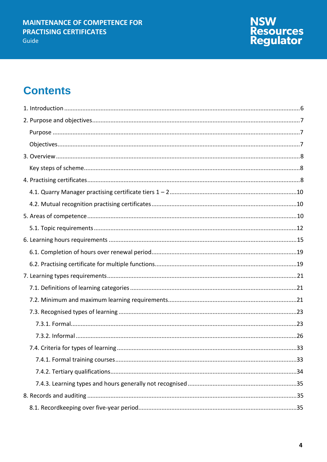

## **Contents**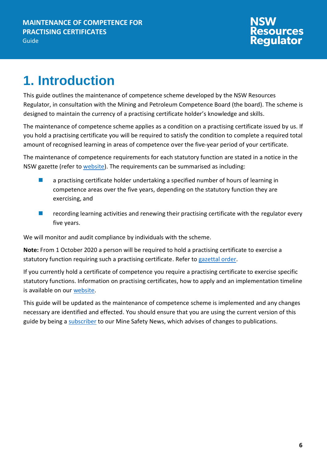# <span id="page-5-0"></span>**1. Introduction**

This guide outlines the maintenance of competence scheme developed by the NSW Resources Regulator, in consultation with the Mining and Petroleum Competence Board (the board). The scheme is designed to maintain the currency of a practising certificate holder's knowledge and skills.

The maintenance of competence scheme applies as a condition on a practising certificate issued by us. If you hold a practising certificate you will be required to satisfy the condition to complete a required total amount of recognised learning in areas of competence over the five-year period of your certificate.

The maintenance of competence requirements for each statutory function are stated in a notice in the NSW gazette (refer to [website\)](https://www.resourcesregulator.nsw.gov.au/safety-and-health/legislation/gazettals/whs-mines-legislation-gazettals). The requirements can be summarised as including:

- a practising certificate holder undertaking a specified number of hours of learning in competence areas over the five years, depending on the statutory function they are exercising, and
- $\blacksquare$  recording learning activities and renewing their practising certificate with the regulator every five years.

We will monitor and audit compliance by individuals with the scheme.

**Note:** From 1 October 2020 a person will be required to hold a practising certificate to exercise a statutory function requiring such a practising certificate. Refer t[o gazettal order.](https://www.resourcesregulator.nsw.gov.au/__data/assets/pdf_file/0018/1196001/Practising-certificate-equivalence-order-2020.PDF)

If you currently hold a certificate of competence you require a practising certificate to exercise specific statutory functions. Information on practising certificates, how to apply and an implementation timeline is available on our [website.](https://www.resourcesregulator.nsw.gov.au/safety-and-health/applications/mining-competence)

This guide will be updated as the maintenance of competence scheme is implemented and any changes necessary are identified and effected. You should ensure that you are using the current version of this guide by being a [subscriber](https://www.resourcesregulator.nsw.gov.au/safety-and-health/publications/mine-safety-news) to our Mine Safety News, which advises of changes to publications.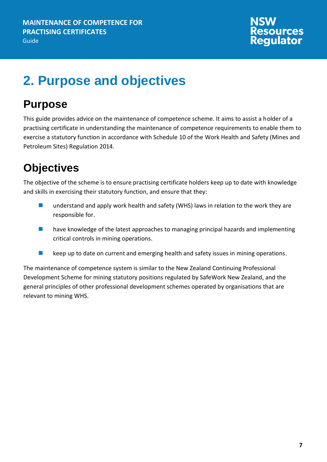# ources **Regulator**

# <span id="page-6-0"></span>**2. Purpose and objectives**

## <span id="page-6-1"></span>**Purpose**

This guide provides advice on the maintenance of competence scheme. It aims to assist a holder of a practising certificate in understanding the maintenance of competence requirements to enable them to exercise a statutory function in accordance with Schedule 10 of the Work Health and Safety (Mines and Petroleum Sites) Regulation 2014.

## <span id="page-6-2"></span>**Objectives**

The objective of the scheme is to ensure practising certificate holders keep up to date with knowledge and skills in exercising their statutory function, and ensure that they:

- understand and apply work health and safety (WHS) laws in relation to the work they are responsible for.
- have knowledge of the latest approaches to managing principal hazards and implementing critical controls in mining operations.
- keep up to date on current and emerging health and safety issues in mining operations.

The maintenance of competence system is similar to the New Zealand Continuing Professional Development Scheme for mining statutory positions regulated by SafeWork New Zealand, and the general principles of other professional development schemes operated by organisations that are relevant to mining WHS.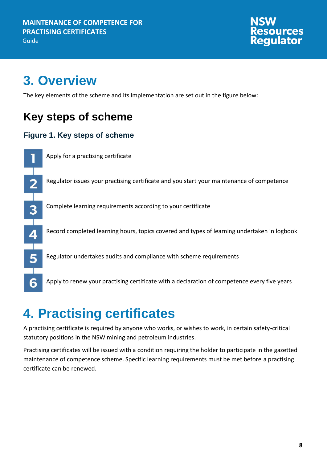

## <span id="page-7-0"></span>**3. Overview**

The key elements of the scheme and its implementation are set out in the figure below:

## <span id="page-7-1"></span>**Key steps of scheme**

#### **Figure 1. Key steps of scheme**



Apply for a practising certificate

Regulator issues your practising certificate and you start your maintenance of competence

Complete learning requirements according to your certificate

Record completed learning hours, topics covered and types of learning undertaken in logbook

Regulator undertakes audits and compliance with scheme requirements

Apply to renew your practising certificate with a declaration of competence every five years

# <span id="page-7-2"></span>**4. Practising certificates**

A practising certificate is required by anyone who works, or wishes to work, in certain safety-critical statutory positions in the NSW mining and petroleum industries.

Practising certificates will be issued with a condition requiring the holder to participate in the gazetted maintenance of competence scheme. Specific learning requirements must be met before a practising certificate can be renewed.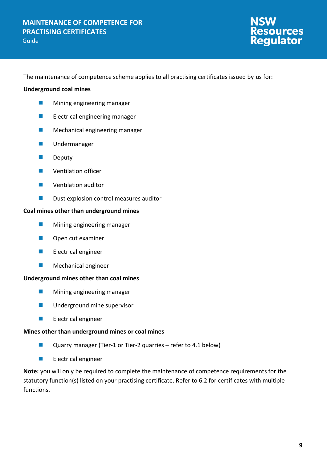## **ources** Regulator

The maintenance of competence scheme applies to all practising certificates issued by us for:

#### **Underground coal mines**

- Mining engineering manager
- Electrical engineering manager
- Mechanical engineering manager
- Undermanager
- Deputy
- Ventilation officer
- Ventilation auditor
- Dust explosion control measures auditor

#### **Coal mines other than underground mines**

- Mining engineering manager
- Open cut examiner
- Electrical engineer
- Mechanical engineer

#### **Underground mines other than coal mines**

- Mining engineering manager
- Underground mine supervisor
- Electrical engineer

#### **Mines other than underground mines or coal mines**

- Quarry manager (Tier-1 or Tier-2 quarries refer to 4.1 below)
- Electrical engineer

**Note:** you will only be required to complete the maintenance of competence requirements for the statutory function(s) listed on your practising certificate. Refer to 6.2 for certificates with multiple functions.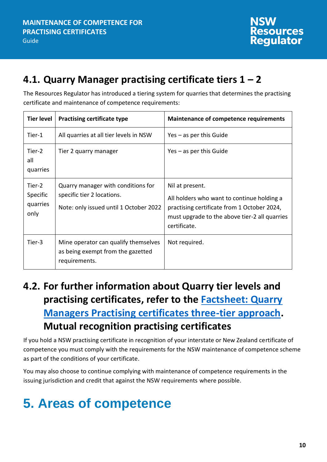

### <span id="page-9-0"></span>**4.1. Quarry Manager practising certificate tiers 1 – 2**

The Resources Regulator has introduced a tiering system for quarries that determines the practising certificate and maintenance of competence requirements:

| <b>Tier level</b>                      | <b>Practising certificate type</b>                                                                         | Maintenance of competence requirements                                                                                                                                        |  |
|----------------------------------------|------------------------------------------------------------------------------------------------------------|-------------------------------------------------------------------------------------------------------------------------------------------------------------------------------|--|
| Tier-1                                 | All quarries at all tier levels in NSW                                                                     | $Yes - as per this Guide$                                                                                                                                                     |  |
| Tier-2<br>all<br>quarries              | Tier 2 quarry manager                                                                                      | $Yes - as per this Guide$                                                                                                                                                     |  |
| Tier-2<br>Specific<br>quarries<br>only | Quarry manager with conditions for<br>specific tier 2 locations.<br>Note: only issued until 1 October 2022 | Nil at present.<br>All holders who want to continue holding a<br>practising certificate from 1 October 2024,<br>must upgrade to the above tier-2 all quarries<br>certificate. |  |
| Tier-3                                 | Mine operator can qualify themselves<br>as being exempt from the gazetted<br>requirements.                 | Not required.                                                                                                                                                                 |  |

## <span id="page-9-1"></span>**4.2. For further information about Quarry tier levels and practising certificates, refer to the [Factsheet: Quarry](https://www.resourcesregulator.nsw.gov.au/__data/assets/pdf_file/0006/1248207/Fact-Sheet-Quarry-Managers-Practising-Certificates-three-tier-approach.pdf)  [Managers Practising certificates three-tier approach.](https://www.resourcesregulator.nsw.gov.au/__data/assets/pdf_file/0006/1248207/Fact-Sheet-Quarry-Managers-Practising-Certificates-three-tier-approach.pdf) Mutual recognition practising certificates**

If you hold a NSW practising certificate in recognition of your interstate or New Zealand certificate of competence you must comply with the requirements for the NSW maintenance of competence scheme as part of the conditions of your certificate.

You may also choose to continue complying with maintenance of competence requirements in the issuing jurisdiction and credit that against the NSW requirements where possible.

# <span id="page-9-2"></span>**5. Areas of competence**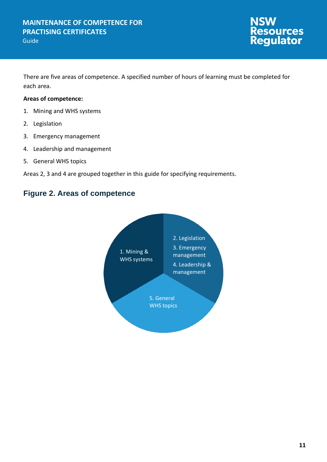There are five areas of competence. A specified number of hours of learning must be completed for each area.

#### **Areas of competence:**

- 1. Mining and WHS systems
- 2. Legislation
- 3. Emergency management
- 4. Leadership and management
- 5. General WHS topics

Areas 2, 3 and 4 are grouped together in this guide for specifying requirements.

#### **Figure 2. Areas of competence**

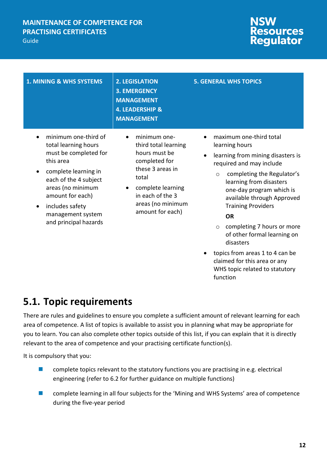# **Resources<br>Regulator**

| <b>1. MINING &amp; WHS SYSTEMS</b>                                                                                                                                                                                                                                      | <b>2. LEGISLATION</b><br><b>3. EMERGENCY</b><br><b>MANAGEMENT</b><br><b>4. LEADERSHIP &amp;</b><br><b>MANAGEMENT</b>                                                                                            | <b>5. GENERAL WHS TOPICS</b>                                                                                                                                                                                                                                                                                               |
|-------------------------------------------------------------------------------------------------------------------------------------------------------------------------------------------------------------------------------------------------------------------------|-----------------------------------------------------------------------------------------------------------------------------------------------------------------------------------------------------------------|----------------------------------------------------------------------------------------------------------------------------------------------------------------------------------------------------------------------------------------------------------------------------------------------------------------------------|
| minimum one-third of<br>total learning hours<br>must be completed for<br>this area<br>complete learning in<br>$\bullet$<br>each of the 4 subject<br>areas (no minimum<br>amount for each)<br>includes safety<br>$\bullet$<br>management system<br>and principal hazards | minimum one-<br>$\bullet$<br>third total learning<br>hours must be<br>completed for<br>these 3 areas in<br>total<br>complete learning<br>$\bullet$<br>in each of the 3<br>areas (no minimum<br>amount for each) | maximum one-third total<br>learning hours<br>learning from mining disasters is<br>required and may include<br>completing the Regulator's<br>$\circ$<br>learning from disasters<br>one-day program which is<br>available through Approved<br><b>Training Providers</b><br><b>OR</b><br>completing 7 hours or more<br>$\cap$ |

- $\circ$  completing 7 hours or more of other formal learning on disasters
- topics from areas 1 to 4 can be claimed for this area or any WHS topic related to statutory function

## <span id="page-11-0"></span>**5.1. Topic requirements**

There are rules and guidelines to ensure you complete a sufficient amount of relevant learning for each area of competence. A list of topics is available to assist you in planning what may be appropriate for you to learn. You can also complete other topics outside of this list, if you can explain that it is directly relevant to the area of competence and your practising certificate function(s).

It is compulsory that you:

- complete topics relevant to the statutory functions you are practising in e.g. electrical engineering (refer to 6.2 for further guidance on multiple functions)
- complete learning in all four subjects for the 'Mining and WHS Systems' area of competence during the five-year period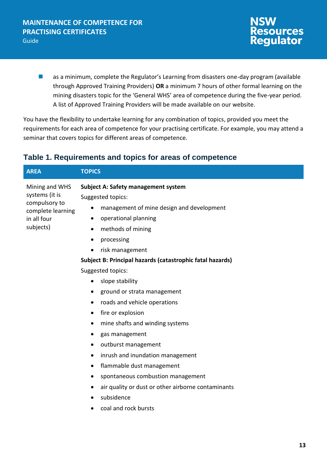■ as a minimum, complete the Regulator's Learning from disasters one-day program (available through Approved Training Providers) **OR** a minimum 7 hours of other formal learning on the mining disasters topic for the 'General WHS' area of competence during the five-year period. A list of Approved Training Providers will be made available on our website.

You have the flexibility to undertake learning for any combination of topics, provided you meet the requirements for each area of competence for your practising certificate. For example, you may attend a seminar that covers topics for different areas of competence.

#### **Table 1. Requirements and topics for areas of competence**

| <b>AREA</b>                                                                                        | <b>TOPICS</b>                                                                                                                                                                                                                                                                                                                                                                                                                                                                                                                                                                                                                                                                                                                                                                                                                                           |  |  |  |
|----------------------------------------------------------------------------------------------------|---------------------------------------------------------------------------------------------------------------------------------------------------------------------------------------------------------------------------------------------------------------------------------------------------------------------------------------------------------------------------------------------------------------------------------------------------------------------------------------------------------------------------------------------------------------------------------------------------------------------------------------------------------------------------------------------------------------------------------------------------------------------------------------------------------------------------------------------------------|--|--|--|
| Mining and WHS<br>systems (it is<br>compulsory to<br>complete learning<br>in all four<br>subjects) | <b>Subject A: Safety management system</b><br>Suggested topics:<br>management of mine design and development<br>$\bullet$<br>operational planning<br>$\bullet$<br>methods of mining<br>$\bullet$<br>processing<br>$\bullet$<br>risk management<br>$\bullet$<br>Subject B: Principal hazards (catastrophic fatal hazards)<br>Suggested topics:<br>slope stability<br>$\bullet$<br>ground or strata management<br>$\bullet$<br>roads and vehicle operations<br>$\bullet$<br>fire or explosion<br>$\bullet$<br>mine shafts and winding systems<br>$\bullet$<br>gas management<br>$\bullet$<br>outburst management<br>inrush and inundation management<br>flammable dust management<br>$\bullet$<br>spontaneous combustion management<br>$\bullet$<br>air quality or dust or other airborne contaminants<br>subsidence<br>coal and rock bursts<br>$\bullet$ |  |  |  |
|                                                                                                    |                                                                                                                                                                                                                                                                                                                                                                                                                                                                                                                                                                                                                                                                                                                                                                                                                                                         |  |  |  |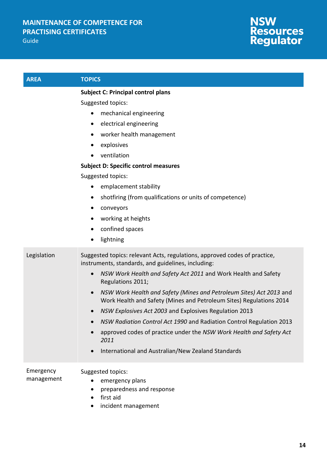| <b>AREA</b>             | <b>TOPICS</b>                                                                                                                                                                                                                                                                                                                                                                                                                                                                                                                                                                                                                                                         |
|-------------------------|-----------------------------------------------------------------------------------------------------------------------------------------------------------------------------------------------------------------------------------------------------------------------------------------------------------------------------------------------------------------------------------------------------------------------------------------------------------------------------------------------------------------------------------------------------------------------------------------------------------------------------------------------------------------------|
|                         | <b>Subject C: Principal control plans</b><br>Suggested topics:<br>mechanical engineering<br>$\bullet$<br>electrical engineering<br>٠<br>worker health management<br>$\bullet$<br>explosives<br>ventilation<br><b>Subject D: Specific control measures</b><br>Suggested topics:<br>emplacement stability<br>$\bullet$<br>shotfiring (from qualifications or units of competence)<br>$\bullet$<br>conveyors<br>working at heights<br>٠<br>confined spaces<br>lightning<br>$\bullet$                                                                                                                                                                                     |
| Legislation             | Suggested topics: relevant Acts, regulations, approved codes of practice,<br>instruments, standards, and guidelines, including:<br>NSW Work Health and Safety Act 2011 and Work Health and Safety<br>$\bullet$<br>Regulations 2011;<br>NSW Work Health and Safety (Mines and Petroleum Sites) Act 2013 and<br>$\bullet$<br>Work Health and Safety (Mines and Petroleum Sites) Regulations 2014<br>NSW Explosives Act 2003 and Explosives Regulation 2013<br>NSW Radiation Control Act 1990 and Radiation Control Regulation 2013<br>approved codes of practice under the NSW Work Health and Safety Act<br>2011<br>International and Australian/New Zealand Standards |
| Emergency<br>management | Suggested topics:<br>emergency plans<br>preparedness and response<br>first aid<br>incident management                                                                                                                                                                                                                                                                                                                                                                                                                                                                                                                                                                 |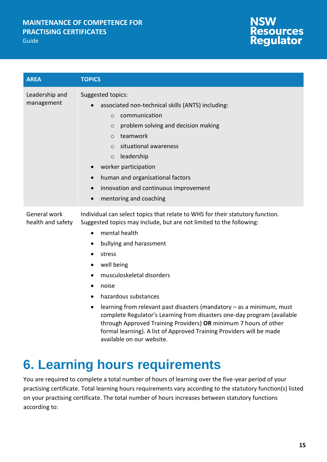# **Resources**<br>Regulator

| <b>AREA</b>                       | <b>TOPICS</b>                                                                                                                                                                                                                                                                                                                                                                                                                                                                                                                                                                                                                                                                                       |  |
|-----------------------------------|-----------------------------------------------------------------------------------------------------------------------------------------------------------------------------------------------------------------------------------------------------------------------------------------------------------------------------------------------------------------------------------------------------------------------------------------------------------------------------------------------------------------------------------------------------------------------------------------------------------------------------------------------------------------------------------------------------|--|
| Leadership and<br>management      | Suggested topics:<br>associated non-technical skills (ANTS) including:<br>communication<br>$\circ$<br>problem solving and decision making<br>$\circ$<br>teamwork<br>$\circ$<br>situational awareness<br>$\circ$<br>leadership<br>$\circ$<br>worker participation<br>human and organisational factors<br>$\bullet$<br>innovation and continuous improvement<br>$\bullet$<br>mentoring and coaching<br>$\bullet$                                                                                                                                                                                                                                                                                      |  |
| General work<br>health and safety | Individual can select topics that relate to WHS for their statutory function.<br>Suggested topics may include, but are not limited to the following:<br>mental health<br>$\bullet$<br>bullying and harassment<br>$\bullet$<br>stress<br>$\bullet$<br>well being<br>$\bullet$<br>musculoskeletal disorders<br>noise<br>$\bullet$<br>hazardous substances<br>learning from relevant past disasters (mandatory $-$ as a minimum, must<br>$\bullet$<br>complete Regulator's Learning from disasters one-day program (available<br>through Approved Training Providers) OR minimum 7 hours of other<br>formal learning). A list of Approved Training Providers will be made<br>available on our website. |  |

# <span id="page-14-0"></span>**6. Learning hours requirements**

You are required to complete a total number of hours of learning over the five-year period of your practising certificate. Total learning hours requirements vary according to the statutory function(s) listed on your practising certificate. The total number of hours increases between statutory functions according to: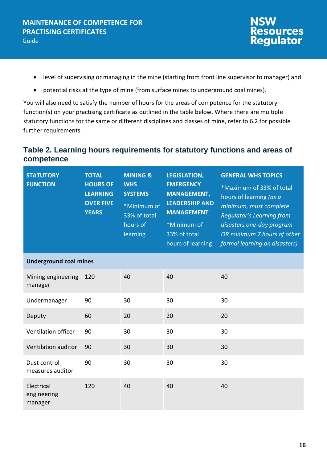# **Resources<br>Regulator**

- level of supervising or managing in the mine (starting from front line supervisor to manager) and
- potential risks at the type of mine (from surface mines to underground coal mines).

You will also need to satisfy the number of hours for the areas of competence for the statutory function(s) on your practising certificate as outlined in the table below. Where there are multiple statutory functions for the same or different disciplines and classes of mine, refer to 6.2 for possible further requirements.

#### **Table 2. Learning hours requirements for statutory functions and areas of competence**

| <b>STATUTORY</b><br><b>FUNCTION</b>  | <b>TOTAL</b><br><b>HOURS OF</b><br><b>LEARNING</b><br><b>OVER FIVE</b><br><b>YEARS</b> | <b>MINING &amp;</b><br><b>WHS</b><br><b>SYSTEMS</b><br>*Minimum of<br>33% of total<br>hours of<br>learning | <b>LEGISLATION,</b><br><b>EMERGENCY</b><br><b>MANAGEMENT,</b><br><b>LEADERSHIP AND</b><br><b>MANAGEMENT</b><br>*Minimum of<br>33% of total<br>hours of learning | <b>GENERAL WHS TOPICS</b><br>*Maximum of 33% of total<br>hours of learning (as a<br>minimum, must complete<br>Regulator's Learning from<br>disasters one-day program<br>OR minimum 7 hours of other<br>formal learning on disasters) |  |  |
|--------------------------------------|----------------------------------------------------------------------------------------|------------------------------------------------------------------------------------------------------------|-----------------------------------------------------------------------------------------------------------------------------------------------------------------|--------------------------------------------------------------------------------------------------------------------------------------------------------------------------------------------------------------------------------------|--|--|
| <b>Underground coal mines</b>        |                                                                                        |                                                                                                            |                                                                                                                                                                 |                                                                                                                                                                                                                                      |  |  |
| Mining engineering<br>manager        | 120                                                                                    | 40                                                                                                         | 40                                                                                                                                                              | 40                                                                                                                                                                                                                                   |  |  |
| Undermanager                         | 90                                                                                     | 30                                                                                                         | 30                                                                                                                                                              | 30                                                                                                                                                                                                                                   |  |  |
| Deputy                               | 60                                                                                     | 20                                                                                                         | 20                                                                                                                                                              | 20                                                                                                                                                                                                                                   |  |  |
| <b>Ventilation officer</b>           | 90                                                                                     | 30                                                                                                         | 30                                                                                                                                                              | 30                                                                                                                                                                                                                                   |  |  |
| Ventilation auditor                  | 90                                                                                     | 30                                                                                                         | 30                                                                                                                                                              | 30                                                                                                                                                                                                                                   |  |  |
| Dust control<br>measures auditor     | 90                                                                                     | 30                                                                                                         | 30                                                                                                                                                              | 30                                                                                                                                                                                                                                   |  |  |
| Electrical<br>engineering<br>manager | 120                                                                                    | 40                                                                                                         | 40                                                                                                                                                              | 40                                                                                                                                                                                                                                   |  |  |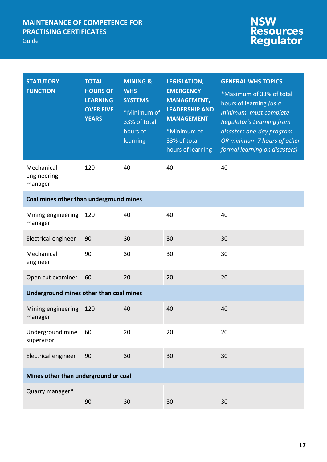| <b>STATUTORY</b><br><b>FUNCTION</b>     | <b>TOTAL</b><br><b>HOURS OF</b><br><b>LEARNING</b><br><b>OVER FIVE</b><br><b>YEARS</b> | <b>MINING &amp;</b><br><b>WHS</b><br><b>SYSTEMS</b><br>*Minimum of<br>33% of total<br>hours of<br>learning | <b>LEGISLATION,</b><br><b>EMERGENCY</b><br><b>MANAGEMENT,</b><br><b>LEADERSHIP AND</b><br><b>MANAGEMENT</b><br>*Minimum of<br>33% of total<br>hours of learning | <b>GENERAL WHS TOPICS</b><br>*Maximum of 33% of total<br>hours of learning (as a<br>minimum, must complete<br><b>Regulator's Learning from</b><br>disasters one-day program<br>OR minimum 7 hours of other<br>formal learning on disasters) |  |  |  |
|-----------------------------------------|----------------------------------------------------------------------------------------|------------------------------------------------------------------------------------------------------------|-----------------------------------------------------------------------------------------------------------------------------------------------------------------|---------------------------------------------------------------------------------------------------------------------------------------------------------------------------------------------------------------------------------------------|--|--|--|
| Mechanical<br>engineering<br>manager    | 120                                                                                    | 40                                                                                                         | 40                                                                                                                                                              | 40                                                                                                                                                                                                                                          |  |  |  |
|                                         | Coal mines other than underground mines                                                |                                                                                                            |                                                                                                                                                                 |                                                                                                                                                                                                                                             |  |  |  |
| Mining engineering<br>manager           | 120                                                                                    | 40                                                                                                         | 40                                                                                                                                                              | 40                                                                                                                                                                                                                                          |  |  |  |
| Electrical engineer                     | 90                                                                                     | 30                                                                                                         | 30                                                                                                                                                              | 30                                                                                                                                                                                                                                          |  |  |  |
| Mechanical<br>engineer                  | 90                                                                                     | 30                                                                                                         | 30                                                                                                                                                              | 30                                                                                                                                                                                                                                          |  |  |  |
| Open cut examiner                       | 60                                                                                     | 20                                                                                                         | 20                                                                                                                                                              | 20                                                                                                                                                                                                                                          |  |  |  |
| Underground mines other than coal mines |                                                                                        |                                                                                                            |                                                                                                                                                                 |                                                                                                                                                                                                                                             |  |  |  |
| Mining engineering<br>manager           | 120                                                                                    | 40                                                                                                         | 40                                                                                                                                                              | 40                                                                                                                                                                                                                                          |  |  |  |
| Underground mine<br>supervisor          | 60                                                                                     | 20                                                                                                         | 20                                                                                                                                                              | 20                                                                                                                                                                                                                                          |  |  |  |
| Electrical engineer                     | 90                                                                                     | 30                                                                                                         | 30                                                                                                                                                              | 30                                                                                                                                                                                                                                          |  |  |  |
| Mines other than underground or coal    |                                                                                        |                                                                                                            |                                                                                                                                                                 |                                                                                                                                                                                                                                             |  |  |  |
| Quarry manager*                         | 90                                                                                     | 30                                                                                                         | 30                                                                                                                                                              | 30                                                                                                                                                                                                                                          |  |  |  |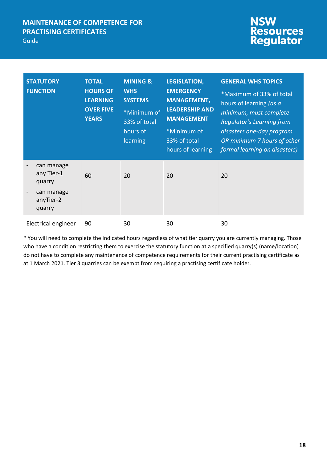# **NSW<br>Resources<br>Regulator**

| <b>STATUTORY</b><br><b>FUNCTION</b>                                     | <b>TOTAL</b><br><b>HOURS OF</b><br><b>LEARNING</b><br><b>OVER FIVE</b><br><b>YEARS</b> | <b>MINING &amp;</b><br><b>WHS</b><br><b>SYSTEMS</b><br>*Minimum of<br>33% of total<br>hours of<br>learning | <b>LEGISLATION,</b><br><b>EMERGENCY</b><br><b>MANAGEMENT,</b><br><b>LEADERSHIP AND</b><br><b>MANAGEMENT</b><br>*Minimum of<br>33% of total<br>hours of learning | <b>GENERAL WHS TOPICS</b><br>*Maximum of 33% of total<br>hours of learning (as a<br>minimum, must complete<br>Regulator's Learning from<br>disasters one-day program<br>OR minimum 7 hours of other<br>formal learning on disasters) |
|-------------------------------------------------------------------------|----------------------------------------------------------------------------------------|------------------------------------------------------------------------------------------------------------|-----------------------------------------------------------------------------------------------------------------------------------------------------------------|--------------------------------------------------------------------------------------------------------------------------------------------------------------------------------------------------------------------------------------|
| can manage<br>any Tier-1<br>quarry<br>can manage<br>anyTier-2<br>quarry | 60                                                                                     | 20                                                                                                         | 20                                                                                                                                                              | 20                                                                                                                                                                                                                                   |
| Electrical engineer                                                     | 90                                                                                     | 30                                                                                                         | 30                                                                                                                                                              | 30                                                                                                                                                                                                                                   |

\* You will need to complete the indicated hours regardless of what tier quarry you are currently managing. Those who have a condition restricting them to exercise the statutory function at a specified quarry(s) (name/location) do not have to complete any maintenance of competence requirements for their current practising certificate as at 1 March 2021. Tier 3 quarries can be exempt from requiring a practising certificate holder.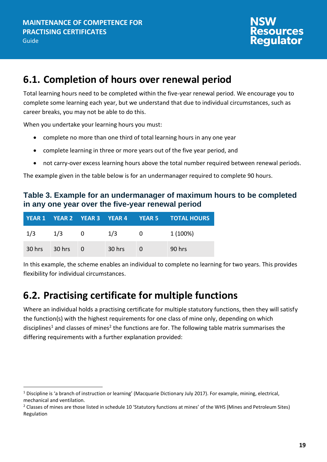# ources Reaulator

### <span id="page-18-0"></span>**6.1. Completion of hours over renewal period**

Total learning hours need to be completed within the five-year renewal period. We encourage you to complete some learning each year, but we understand that due to individual circumstances, such as career breaks, you may not be able to do this.

When you undertake your learning hours you must:

- complete no more than one third of total learning hours in any one year
- complete learning in three or more years out of the five year period, and
- not carry-over excess learning hours above the total number required between renewal periods.

The example given in the table below is for an undermanager required to complete 90 hours.

#### **Table 3. Example for an undermanager of maximum hours to be completed in any one year over the five-year renewal period**

|          |           |                |        |   | <b>YEAR 1 YEAR 2 YEAR 3 YEAR 4 YEAR 5 TOTAL HOURS</b> |
|----------|-----------|----------------|--------|---|-------------------------------------------------------|
| 1/3      | 1/3       | - 0            | 1/3    | 0 | 1 (100%)                                              |
| - 30 hrs | $-30$ hrs | $\overline{0}$ | 30 hrs |   | 90 hrs                                                |

In this example, the scheme enables an individual to complete no learning for two years. This provides flexibility for individual circumstances.

## <span id="page-18-1"></span>**6.2. Practising certificate for multiple functions**

Where an individual holds a practising certificate for multiple statutory functions, then they will satisfy the function(s) with the highest requirements for one class of mine only, depending on which disciplines<sup>1</sup> and classes of mines<sup>2</sup> the functions are for. The following table matrix summarises the differing requirements with a further explanation provided:

<sup>&</sup>lt;sup>1</sup> Discipline is 'a branch of instruction or learning' (Macquarie Dictionary July 2017). For example, mining, electrical, mechanical and ventilation.

<sup>&</sup>lt;sup>2</sup> Classes of mines are those listed in schedule 10 'Statutory functions at mines' of the WHS (Mines and Petroleum Sites) Regulation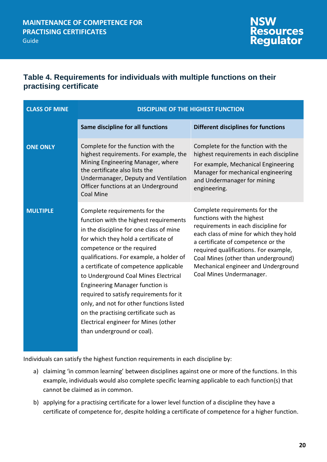# **Resources<br>Regulator**

#### **Table 4. Requirements for individuals with multiple functions on their practising certificate**

| <b>CLASS OF MINE</b> | <b>DISCIPLINE OF THE HIGHEST FUNCTION</b>                                                                                                                                                                                                                                                                                                                                                                                                                                                                                                                              |                                                                                                                                                                                                                                                                                                                                       |  |
|----------------------|------------------------------------------------------------------------------------------------------------------------------------------------------------------------------------------------------------------------------------------------------------------------------------------------------------------------------------------------------------------------------------------------------------------------------------------------------------------------------------------------------------------------------------------------------------------------|---------------------------------------------------------------------------------------------------------------------------------------------------------------------------------------------------------------------------------------------------------------------------------------------------------------------------------------|--|
|                      | Same discipline for all functions                                                                                                                                                                                                                                                                                                                                                                                                                                                                                                                                      | <b>Different disciplines for functions</b>                                                                                                                                                                                                                                                                                            |  |
| <b>ONE ONLY</b>      | Complete for the function with the<br>highest requirements. For example, the<br>Mining Engineering Manager, where<br>the certificate also lists the<br>Undermanager, Deputy and Ventilation<br>Officer functions at an Underground<br><b>Coal Mine</b>                                                                                                                                                                                                                                                                                                                 | Complete for the function with the<br>highest requirements in each discipline<br>For example, Mechanical Engineering<br>Manager for mechanical engineering<br>and Undermanager for mining<br>engineering.                                                                                                                             |  |
| <b>MULTIPLE</b>      | Complete requirements for the<br>function with the highest requirements<br>in the discipline for one class of mine<br>for which they hold a certificate of<br>competence or the required<br>qualifications. For example, a holder of<br>a certificate of competence applicable<br>to Underground Coal Mines Electrical<br><b>Engineering Manager function is</b><br>required to satisfy requirements for it<br>only, and not for other functions listed<br>on the practising certificate such as<br>Electrical engineer for Mines (other<br>than underground or coal). | Complete requirements for the<br>functions with the highest<br>requirements in each discipline for<br>each class of mine for which they hold<br>a certificate of competence or the<br>required qualifications. For example,<br>Coal Mines (other than underground)<br>Mechanical engineer and Underground<br>Coal Mines Undermanager. |  |

Individuals can satisfy the highest function requirements in each discipline by:

- a) claiming 'in common learning' between disciplines against one or more of the functions. In this example, individuals would also complete specific learning applicable to each function(s) that cannot be claimed as in common.
- b) applying for a practising certificate for a lower level function of a discipline they have a certificate of competence for, despite holding a certificate of competence for a higher function.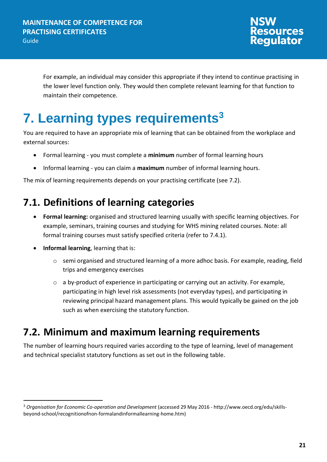For example, an individual may consider this appropriate if they intend to continue practising in the lower level function only. They would then complete relevant learning for that function to maintain their competence.

# <span id="page-20-0"></span>**7. Learning types requirements<sup>3</sup>**

You are required to have an appropriate mix of learning that can be obtained from the workplace and external sources:

- Formal learning you must complete a **minimum** number of formal learning hours
- Informal learning you can claim a **maximum** number of informal learning hours.

The mix of learning requirements depends on your practising certificate (see 7.2).

## <span id="page-20-1"></span>**7.1. Definitions of learning categories**

- **Formal learning:** organised and structured learning usually with specific learning objectives. For example, seminars, training courses and studying for WHS mining related courses. Note: all formal training courses must satisfy specified criteria (refer to 7.4.1).
- **Informal learning**, learning that is:
	- o semi organised and structured learning of a more adhoc basis. For example, reading, field trips and emergency exercises
	- $\circ$  a by-product of experience in participating or carrying out an activity. For example, participating in high level risk assessments (not everyday types), and participating in reviewing principal hazard management plans. This would typically be gained on the job such as when exercising the statutory function.

### <span id="page-20-2"></span>**7.2. Minimum and maximum learning requirements**

The number of learning hours required varies according to the type of learning, level of management and technical specialist statutory functions as set out in the following table.

<sup>3</sup> *Organisation for Economic Co-operation and Development* (accessed 29 May 2016 - http://www.oecd.org/edu/skillsbeyond-school/recognitionofnon-formalandinformallearning-home.htm)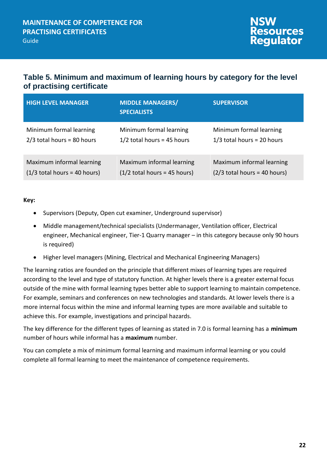#### **Table 5. Minimum and maximum of learning hours by category for the level of practising certificate**

| <b>HIGH LEVEL MANAGER</b>      | <b>MIDDLE MANAGERS/</b><br><b>SPECIALISTS</b>  | <b>SUPERVISOR</b>              |
|--------------------------------|------------------------------------------------|--------------------------------|
| Minimum formal learning        | Minimum formal learning                        | Minimum formal learning        |
| $2/3$ total hours = 80 hours   | $1/2$ total hours = 45 hours                   | $1/3$ total hours = 20 hours   |
| Maximum informal learning      | Maximum informal learning                      | Maximum informal learning      |
| $(1/3$ total hours = 40 hours) | $(1/2 \text{ total hours} = 45 \text{ hours})$ | $(2/3$ total hours = 40 hours) |

#### **Key:**

- Supervisors (Deputy, Open cut examiner, Underground supervisor)
- Middle management/technical specialists (Undermanager, Ventilation officer, Electrical engineer, Mechanical engineer, Tier-1 Quarry manager – in this category because only 90 hours is required)
- Higher level managers (Mining, Electrical and Mechanical Engineering Managers)

The learning ratios are founded on the principle that different mixes of learning types are required according to the level and type of statutory function. At higher levels there is a greater external focus outside of the mine with formal learning types better able to support learning to maintain competence. For example, seminars and conferences on new technologies and standards. At lower levels there is a more internal focus within the mine and informal learning types are more available and suitable to achieve this. For example, investigations and principal hazards.

The key difference for the different types of learning as stated in 7.0 is formal learning has a **minimum** number of hours while informal has a **maximum** number.

You can complete a mix of minimum formal learning and maximum informal learning or you could complete all formal learning to meet the maintenance of competence requirements.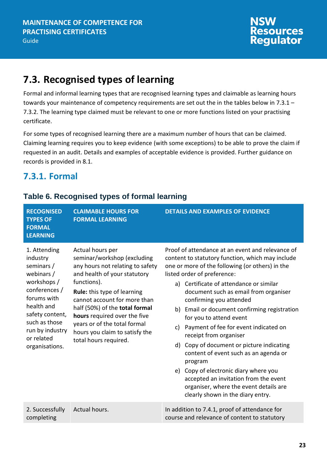# **jources Regulator**

## <span id="page-22-0"></span>**7.3. Recognised types of learning**

Formal and informal learning types that are recognised learning types and claimable as learning hours towards your maintenance of competency requirements are set out the in the tables below in 7.3.1 – 7.3.2. The learning type claimed must be relevant to one or more functions listed on your practising certificate.

For some types of recognised learning there are a maximum number of hours that can be claimed. Claiming learning requires you to keep evidence (with some exceptions) to be able to prove the claim if requested in an audit. Details and examples of acceptable evidence is provided. Further guidance on records is provided in 8.1.

### <span id="page-22-1"></span>**7.3.1. Formal**

| <b>RECOGNISED</b><br><b>TYPES OF</b><br><b>FORMAL</b><br><b>LEARNING</b>                                                                                                                                 | <b>CLAIMABLE HOURS FOR</b><br><b>FORMAL LEARNING</b>                                                                                                                                                                                                                                                                                                           | <b>DETAILS AND EXAMPLES OF EVIDENCE</b>                                                                                                                                                                                                                                                                                                                                                                                                                                                                                                                                                                                                                                                                                     |
|----------------------------------------------------------------------------------------------------------------------------------------------------------------------------------------------------------|----------------------------------------------------------------------------------------------------------------------------------------------------------------------------------------------------------------------------------------------------------------------------------------------------------------------------------------------------------------|-----------------------------------------------------------------------------------------------------------------------------------------------------------------------------------------------------------------------------------------------------------------------------------------------------------------------------------------------------------------------------------------------------------------------------------------------------------------------------------------------------------------------------------------------------------------------------------------------------------------------------------------------------------------------------------------------------------------------------|
| 1. Attending<br>industry<br>seminars /<br>webinars /<br>workshops /<br>conferences /<br>forums with<br>health and<br>safety content,<br>such as those<br>run by industry<br>or related<br>organisations. | Actual hours per<br>seminar/workshop (excluding<br>any hours not relating to safety<br>and health of your statutory<br>functions).<br>Rule: this type of learning<br>cannot account for more than<br>half (50%) of the total formal<br>hours required over the five<br>years or of the total formal<br>hours you claim to satisfy the<br>total hours required. | Proof of attendance at an event and relevance of<br>content to statutory function, which may include<br>one or more of the following (or others) in the<br>listed order of preference:<br>Certificate of attendance or similar<br>a)<br>document such as email from organiser<br>confirming you attended<br>b) Email or document confirming registration<br>for you to attend event<br>c) Payment of fee for event indicated on<br>receipt from organiser<br>d) Copy of document or picture indicating<br>content of event such as an agenda or<br>program<br>e) Copy of electronic diary where you<br>accepted an invitation from the event<br>organiser, where the event details are<br>clearly shown in the diary entry. |
| 2. Successfully<br>completing                                                                                                                                                                            | Actual hours.                                                                                                                                                                                                                                                                                                                                                  | In addition to 7.4.1, proof of attendance for<br>course and relevance of content to statutory                                                                                                                                                                                                                                                                                                                                                                                                                                                                                                                                                                                                                               |

#### **Table 6. Recognised types of formal learning**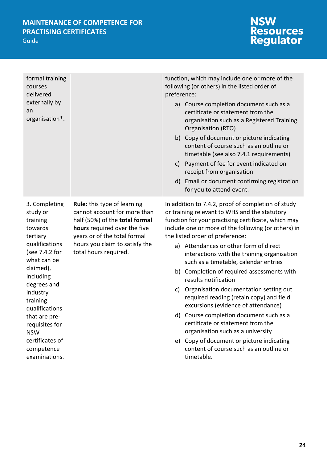Guide

| formal training<br>courses<br>delivered<br>externally by<br>an<br>organisation*.                                                                                                                                                                                                                      |                                                                                                                                                                                                                                 | function, which may include one or more of the<br>following (or others) in the listed order of<br>preference:<br>a) Course completion document such as a<br>certificate or statement from the<br>organisation such as a Registered Training<br>Organisation (RTO)<br>b) Copy of document or picture indicating<br>content of course such as an outline or<br>timetable (see also 7.4.1 requirements)<br>c) Payment of fee for event indicated on<br>receipt from organisation<br>d) Email or document confirming registration<br>for you to attend event.                                                                                                                                                                                                                                                                     |
|-------------------------------------------------------------------------------------------------------------------------------------------------------------------------------------------------------------------------------------------------------------------------------------------------------|---------------------------------------------------------------------------------------------------------------------------------------------------------------------------------------------------------------------------------|-------------------------------------------------------------------------------------------------------------------------------------------------------------------------------------------------------------------------------------------------------------------------------------------------------------------------------------------------------------------------------------------------------------------------------------------------------------------------------------------------------------------------------------------------------------------------------------------------------------------------------------------------------------------------------------------------------------------------------------------------------------------------------------------------------------------------------|
| 3. Completing<br>study or<br>training<br>towards<br>tertiary<br>qualifications<br>(see 7.4.2 for<br>what can be<br>claimed),<br>including<br>degrees and<br>industry<br>training<br>qualifications<br>that are pre-<br>requisites for<br><b>NSW</b><br>certificates of<br>competence<br>examinations. | <b>Rule:</b> this type of learning<br>cannot account for more than<br>half (50%) of the total formal<br>hours required over the five<br>years or of the total formal<br>hours you claim to satisfy the<br>total hours required. | In addition to 7.4.2, proof of completion of study<br>or training relevant to WHS and the statutory<br>function for your practising certificate, which may<br>include one or more of the following (or others) in<br>the listed order of preference:<br>Attendances or other form of direct<br>a)<br>interactions with the training organisation<br>such as a timetable, calendar entries<br>b) Completion of required assessments with<br>results notification<br>Organisation documentation setting out<br>c)<br>required reading (retain copy) and field<br>excursions (evidence of attendance)<br>d) Course completion document such as a<br>certificate or statement from the<br>organisation such as a university<br>e) Copy of document or picture indicating<br>content of course such as an outline or<br>timetable. |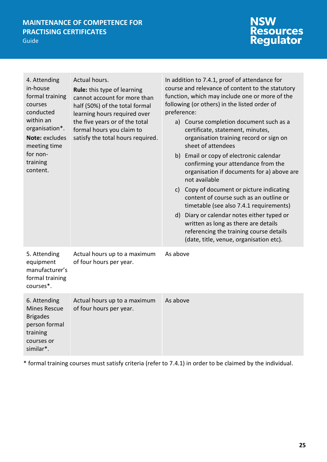# **NSW<br>Resources<br>Regulator**

| 4. Attending<br>in-house<br>formal training<br>courses<br>conducted<br>within an<br>organisation*.<br>Note: excludes<br>meeting time<br>for non-<br>training<br>content. | Actual hours.<br>Rule: this type of learning<br>cannot account for more than<br>half (50%) of the total formal<br>learning hours required over<br>the five years or of the total<br>formal hours you claim to<br>satisfy the total hours required. | In addition to 7.4.1, proof of attendance for<br>course and relevance of content to the statutory<br>function, which may include one or more of the<br>following (or others) in the listed order of<br>preference:<br>a) Course completion document such as a<br>certificate, statement, minutes,<br>organisation training record or sign on<br>sheet of attendees<br>b) Email or copy of electronic calendar<br>confirming your attendance from the<br>organisation if documents for a) above are<br>not available<br>c) Copy of document or picture indicating<br>content of course such as an outline or<br>timetable (see also 7.4.1 requirements)<br>d) Diary or calendar notes either typed or<br>written as long as there are details<br>referencing the training course details<br>(date, title, venue, organisation etc). |
|--------------------------------------------------------------------------------------------------------------------------------------------------------------------------|----------------------------------------------------------------------------------------------------------------------------------------------------------------------------------------------------------------------------------------------------|------------------------------------------------------------------------------------------------------------------------------------------------------------------------------------------------------------------------------------------------------------------------------------------------------------------------------------------------------------------------------------------------------------------------------------------------------------------------------------------------------------------------------------------------------------------------------------------------------------------------------------------------------------------------------------------------------------------------------------------------------------------------------------------------------------------------------------|
| 5. Attending<br>equipment<br>manufacturer's<br>formal training<br>courses*.                                                                                              | Actual hours up to a maximum<br>of four hours per year.                                                                                                                                                                                            | As above                                                                                                                                                                                                                                                                                                                                                                                                                                                                                                                                                                                                                                                                                                                                                                                                                           |
| 6. Attending<br><b>Mines Rescue</b><br><b>Brigades</b><br>person formal<br>training<br>courses or<br>similar*.                                                           | Actual hours up to a maximum<br>of four hours per year.                                                                                                                                                                                            | As above                                                                                                                                                                                                                                                                                                                                                                                                                                                                                                                                                                                                                                                                                                                                                                                                                           |

\* formal training courses must satisfy criteria (refer to 7.4.1) in order to be claimed by the individual.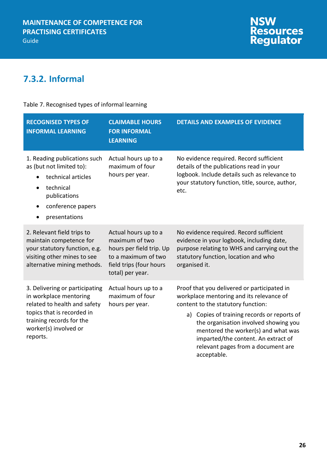### <span id="page-25-0"></span>**7.3.2. Informal**

#### Table 7. Recognised types of informal learning

| <b>RECOGNISED TYPES OF</b><br><b>INFORMAL LEARNING</b>                                                                                                                                                | <b>CLAIMABLE HOURS</b><br><b>FOR INFORMAL</b><br><b>LEARNING</b>                                                                         | <b>DETAILS AND EXAMPLES OF EVIDENCE</b>                                                                                                                                                                                                                                                                                                                  |
|-------------------------------------------------------------------------------------------------------------------------------------------------------------------------------------------------------|------------------------------------------------------------------------------------------------------------------------------------------|----------------------------------------------------------------------------------------------------------------------------------------------------------------------------------------------------------------------------------------------------------------------------------------------------------------------------------------------------------|
| 1. Reading publications such<br>as (but not limited to):<br>technical articles<br>$\bullet$<br>technical<br>$\bullet$<br>publications<br>conference papers<br>$\bullet$<br>presentations<br>$\bullet$ | Actual hours up to a<br>maximum of four<br>hours per year.                                                                               | No evidence required. Record sufficient<br>details of the publications read in your<br>logbook. Include details such as relevance to<br>your statutory function, title, source, author,<br>etc.                                                                                                                                                          |
| 2. Relevant field trips to<br>maintain competence for<br>your statutory function, e.g.<br>visiting other mines to see<br>alternative mining methods.                                                  | Actual hours up to a<br>maximum of two<br>hours per field trip. Up<br>to a maximum of two<br>field trips (four hours<br>total) per year. | No evidence required. Record sufficient<br>evidence in your logbook, including date,<br>purpose relating to WHS and carrying out the<br>statutory function, location and who<br>organised it.                                                                                                                                                            |
| 3. Delivering or participating<br>in workplace mentoring<br>related to health and safety<br>topics that is recorded in<br>training records for the<br>worker(s) involved or<br>reports.               | Actual hours up to a<br>maximum of four<br>hours per year.                                                                               | Proof that you delivered or participated in<br>workplace mentoring and its relevance of<br>content to the statutory function:<br>a) Copies of training records or reports of<br>the organisation involved showing you<br>mentored the worker(s) and what was<br>imparted/the content. An extract of<br>relevant pages from a document are<br>acceptable. |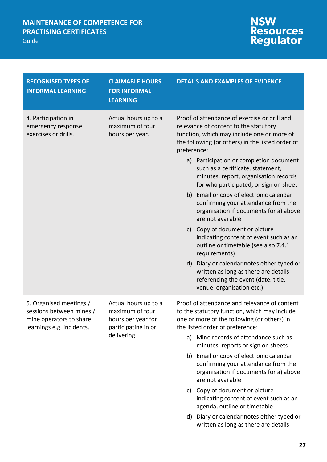| <b>RECOGNISED TYPES OF</b><br><b>INFORMAL LEARNING</b>                                                      | <b>CLAIMABLE HOURS</b><br><b>FOR INFORMAL</b><br><b>LEARNING</b>                                    | <b>DETAILS AND EXAMPLES OF EVIDENCE</b>                                                                                                                                                                                                                                                                                                                                                                                                                                                                                                                                                                                                                                                                                                                                                                                   |
|-------------------------------------------------------------------------------------------------------------|-----------------------------------------------------------------------------------------------------|---------------------------------------------------------------------------------------------------------------------------------------------------------------------------------------------------------------------------------------------------------------------------------------------------------------------------------------------------------------------------------------------------------------------------------------------------------------------------------------------------------------------------------------------------------------------------------------------------------------------------------------------------------------------------------------------------------------------------------------------------------------------------------------------------------------------------|
| 4. Participation in<br>emergency response<br>exercises or drills.                                           | Actual hours up to a<br>maximum of four<br>hours per year.                                          | Proof of attendance of exercise or drill and<br>relevance of content to the statutory<br>function, which may include one or more of<br>the following (or others) in the listed order of<br>preference:<br>a) Participation or completion document<br>such as a certificate, statement,<br>minutes, report, organisation records<br>for who participated, or sign on sheet<br>b) Email or copy of electronic calendar<br>confirming your attendance from the<br>organisation if documents for a) above<br>are not available<br>c) Copy of document or picture<br>indicating content of event such as an<br>outline or timetable (see also 7.4.1<br>requirements)<br>d) Diary or calendar notes either typed or<br>written as long as there are details<br>referencing the event (date, title,<br>venue, organisation etc.) |
| 5. Organised meetings /<br>sessions between mines /<br>mine operators to share<br>learnings e.g. incidents. | Actual hours up to a<br>maximum of four<br>hours per year for<br>participating in or<br>delivering. | Proof of attendance and relevance of content<br>to the statutory function, which may include<br>one or more of the following (or others) in<br>the listed order of preference:<br>a) Mine records of attendance such as<br>minutes, reports or sign on sheets<br>b) Email or copy of electronic calendar<br>confirming your attendance from the<br>organisation if documents for a) above<br>are not available<br>Copy of document or picture<br>C)<br>indicating content of event such as an<br>agenda, outline or timetable<br>d) Diary or calendar notes either typed or<br>written as long as there are details                                                                                                                                                                                                       |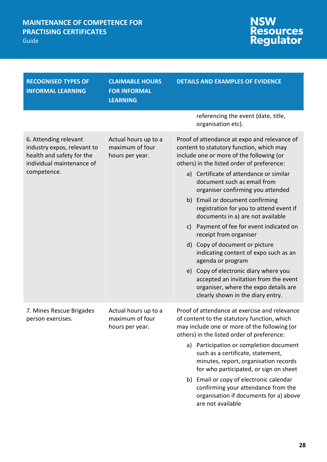| <b>RECOGNISED TYPES OF</b><br><b>INFORMAL LEARNING</b>                                                                        | <b>CLAIMABLE HOURS</b><br><b>FOR INFORMAL</b><br><b>LEARNING</b> | <b>DETAILS AND EXAMPLES OF EVIDENCE</b>                                                                                                                                                                                                                                                                                                                                                                                                                                                                                                                                                                                                                                                                                                                                    |
|-------------------------------------------------------------------------------------------------------------------------------|------------------------------------------------------------------|----------------------------------------------------------------------------------------------------------------------------------------------------------------------------------------------------------------------------------------------------------------------------------------------------------------------------------------------------------------------------------------------------------------------------------------------------------------------------------------------------------------------------------------------------------------------------------------------------------------------------------------------------------------------------------------------------------------------------------------------------------------------------|
|                                                                                                                               |                                                                  | referencing the event (date, title,<br>organisation etc).                                                                                                                                                                                                                                                                                                                                                                                                                                                                                                                                                                                                                                                                                                                  |
| 6. Attending relevant<br>industry expos, relevant to<br>health and safety for the<br>individual maintenance of<br>competence. | Actual hours up to a<br>maximum of four<br>hours per year.       | Proof of attendance at expo and relevance of<br>content to statutory function, which may<br>include one or more of the following (or<br>others) in the listed order of preference:<br>a) Certificate of attendance or similar<br>document such as email from<br>organiser confirming you attended<br>b) Email or document confirming<br>registration for you to attend event if<br>documents in a) are not available<br>Payment of fee for event indicated on<br>$\mathsf{C}$<br>receipt from organiser<br>Copy of document or picture<br>d)<br>indicating content of expo such as an<br>agenda or program<br>e) Copy of electronic diary where you<br>accepted an invitation from the event<br>organiser, where the expo details are<br>clearly shown in the diary entry. |
| 7. Mines Rescue Brigades<br>person exercises.                                                                                 | Actual hours up to a<br>maximum of four<br>hours per year.       | Proof of attendance at exercise and relevance<br>of content to the statutory function, which<br>may include one or more of the following (or<br>others) in the listed order of preference:<br>a) Participation or completion document<br>such as a certificate, statement,<br>minutes, report, organisation records<br>for who participated, or sign on sheet<br>b) Email or copy of electronic calendar<br>confirming your attendance from the<br>organisation if documents for a) above<br>are not available                                                                                                                                                                                                                                                             |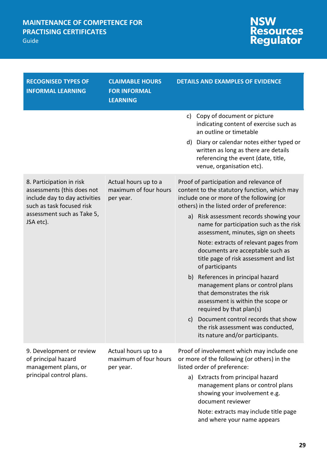**NSW<br>Resources<br>Regulator** 

| <b>RECOGNISED TYPES OF</b><br><b>INFORMAL LEARNING</b>                                                                                                          | <b>CLAIMABLE HOURS</b><br><b>FOR INFORMAL</b><br><b>LEARNING</b> | <b>DETAILS AND EXAMPLES OF EVIDENCE</b>                                                                                                                                                                                                                                                                                                                                                                                                                                                                                                                                                                                                                                                                                                                |
|-----------------------------------------------------------------------------------------------------------------------------------------------------------------|------------------------------------------------------------------|--------------------------------------------------------------------------------------------------------------------------------------------------------------------------------------------------------------------------------------------------------------------------------------------------------------------------------------------------------------------------------------------------------------------------------------------------------------------------------------------------------------------------------------------------------------------------------------------------------------------------------------------------------------------------------------------------------------------------------------------------------|
|                                                                                                                                                                 |                                                                  | c) Copy of document or picture<br>indicating content of exercise such as<br>an outline or timetable<br>d) Diary or calendar notes either typed or<br>written as long as there are details<br>referencing the event (date, title,<br>venue, organisation etc).                                                                                                                                                                                                                                                                                                                                                                                                                                                                                          |
| 8. Participation in risk<br>assessments (this does not<br>include day to day activities<br>such as task focused risk<br>assessment such as Take 5,<br>JSA etc). | Actual hours up to a<br>maximum of four hours<br>per year.       | Proof of participation and relevance of<br>content to the statutory function, which may<br>include one or more of the following (or<br>others) in the listed order of preference:<br>a) Risk assessment records showing your<br>name for participation such as the risk<br>assessment, minutes, sign on sheets<br>Note: extracts of relevant pages from<br>documents are acceptable such as<br>title page of risk assessment and list<br>of participants<br>b) References in principal hazard<br>management plans or control plans<br>that demonstrates the risk<br>assessment is within the scope or<br>required by that plan(s)<br>Document control records that show<br>C)<br>the risk assessment was conducted,<br>its nature and/or participants. |
| 9. Development or review<br>of principal hazard<br>management plans, or<br>principal control plans.                                                             | Actual hours up to a<br>maximum of four hours<br>per year.       | Proof of involvement which may include one<br>or more of the following (or others) in the<br>listed order of preference:<br>a) Extracts from principal hazard<br>management plans or control plans<br>showing your involvement e.g.<br>document reviewer                                                                                                                                                                                                                                                                                                                                                                                                                                                                                               |

Note: extracts may include title page and where your name appears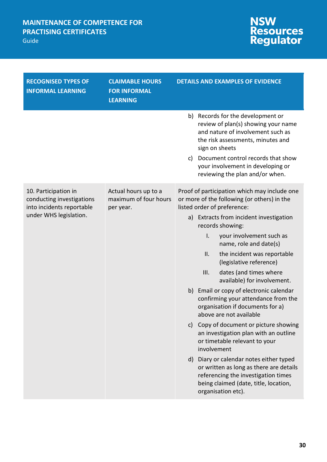| <b>RECOGNISED TYPES OF</b><br><b>INFORMAL LEARNING</b>                                                   | <b>CLAIMABLE HOURS</b><br><b>FOR INFORMAL</b><br><b>LEARNING</b> | <b>DETAILS AND EXAMPLES OF EVIDENCE</b>                                                                                                                                                                                                                                                                                                                                                                                                                                                                                                                                                                                                                                                                                                                                                                                                                                    |
|----------------------------------------------------------------------------------------------------------|------------------------------------------------------------------|----------------------------------------------------------------------------------------------------------------------------------------------------------------------------------------------------------------------------------------------------------------------------------------------------------------------------------------------------------------------------------------------------------------------------------------------------------------------------------------------------------------------------------------------------------------------------------------------------------------------------------------------------------------------------------------------------------------------------------------------------------------------------------------------------------------------------------------------------------------------------|
|                                                                                                          |                                                                  | b) Records for the development or<br>review of plan(s) showing your name<br>and nature of involvement such as<br>the risk assessments, minutes and<br>sign on sheets<br>Document control records that show<br>C)<br>your involvement in developing or<br>reviewing the plan and/or when.                                                                                                                                                                                                                                                                                                                                                                                                                                                                                                                                                                                   |
| 10. Participation in<br>conducting investigations<br>into incidents reportable<br>under WHS legislation. | Actual hours up to a<br>maximum of four hours<br>per year.       | Proof of participation which may include one<br>or more of the following (or others) in the<br>listed order of preference:<br>a) Extracts from incident investigation<br>records showing:<br>your involvement such as<br>I.<br>name, role and date(s)<br>ΙΙ.<br>the incident was reportable<br>(legislative reference)<br>dates (and times where<br>III.<br>available) for involvement.<br>b) Email or copy of electronic calendar<br>confirming your attendance from the<br>organisation if documents for a)<br>above are not available<br>Copy of document or picture showing<br>C)<br>an investigation plan with an outline<br>or timetable relevant to your<br>involvement<br>d) Diary or calendar notes either typed<br>or written as long as there are details<br>referencing the investigation times<br>being claimed (date, title, location,<br>organisation etc). |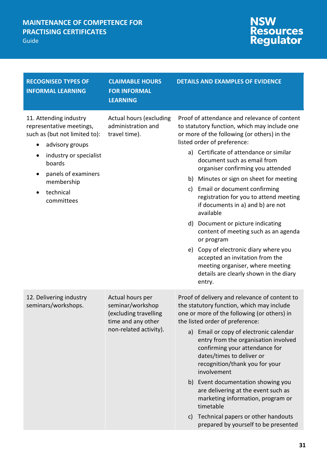| <b>RECOGNISED TYPES OF</b><br><b>INFORMAL LEARNING</b>                                                                                                                                                                                            | <b>CLAIMABLE HOURS</b><br><b>FOR INFORMAL</b><br><b>LEARNING</b>                                              | <b>DETAILS AND EXAMPLES OF EVIDENCE</b>                                                                                                                                                                                                                                                                                                                                                                                                                                                                                                                                                                                                                                                                                               |
|---------------------------------------------------------------------------------------------------------------------------------------------------------------------------------------------------------------------------------------------------|---------------------------------------------------------------------------------------------------------------|---------------------------------------------------------------------------------------------------------------------------------------------------------------------------------------------------------------------------------------------------------------------------------------------------------------------------------------------------------------------------------------------------------------------------------------------------------------------------------------------------------------------------------------------------------------------------------------------------------------------------------------------------------------------------------------------------------------------------------------|
| 11. Attending industry<br>representative meetings,<br>such as (but not limited to):<br>advisory groups<br>$\bullet$<br>industry or specialist<br>$\bullet$<br>boards<br>panels of examiners<br>$\bullet$<br>membership<br>technical<br>committees | <b>Actual hours (excluding</b><br>administration and<br>travel time).                                         | Proof of attendance and relevance of content<br>to statutory function, which may include one<br>or more of the following (or others) in the<br>listed order of preference:<br>a) Certificate of attendance or similar<br>document such as email from<br>organiser confirming you attended<br>b) Minutes or sign on sheet for meeting<br>Email or document confirming<br>c)<br>registration for you to attend meeting<br>if documents in a) and b) are not<br>available<br>d) Document or picture indicating<br>content of meeting such as an agenda<br>or program<br>e) Copy of electronic diary where you<br>accepted an invitation from the<br>meeting organiser, where meeting<br>details are clearly shown in the diary<br>entry. |
| 12. Delivering industry<br>seminars/workshops.                                                                                                                                                                                                    | Actual hours per<br>seminar/workshop<br>(excluding travelling<br>time and any other<br>non-related activity). | Proof of delivery and relevance of content to<br>the statutory function, which may include<br>one or more of the following (or others) in<br>the listed order of preference:<br>a) Email or copy of electronic calendar<br>entry from the organisation involved<br>confirming your attendance for<br>dates/times to deliver or<br>recognition/thank you for your<br>involvement<br>b) Event documentation showing you<br>are delivering at the event such as<br>marketing information, program or<br>timetable<br>Technical papers or other handouts<br>C)<br>prepared by yourself to be presented                                                                                                                                    |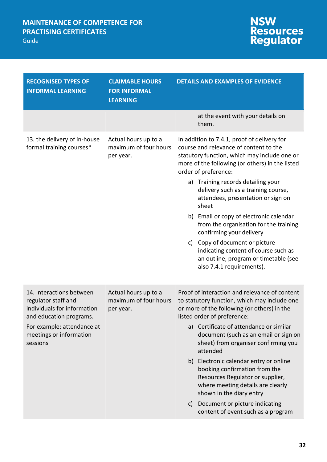| <b>RECOGNISED TYPES OF</b><br><b>INFORMAL LEARNING</b>                                                                                                                         | <b>CLAIMABLE HOURS</b><br><b>FOR INFORMAL</b><br><b>LEARNING</b> | <b>DETAILS AND EXAMPLES OF EVIDENCE</b>                                                                                                                                                                                                                                                                                                                                                                                                                                                                                                                                                                       |
|--------------------------------------------------------------------------------------------------------------------------------------------------------------------------------|------------------------------------------------------------------|---------------------------------------------------------------------------------------------------------------------------------------------------------------------------------------------------------------------------------------------------------------------------------------------------------------------------------------------------------------------------------------------------------------------------------------------------------------------------------------------------------------------------------------------------------------------------------------------------------------|
|                                                                                                                                                                                |                                                                  | at the event with your details on<br>them.                                                                                                                                                                                                                                                                                                                                                                                                                                                                                                                                                                    |
| 13. the delivery of in-house<br>formal training courses*                                                                                                                       | Actual hours up to a<br>maximum of four hours<br>per year.       | In addition to 7.4.1, proof of delivery for<br>course and relevance of content to the<br>statutory function, which may include one or<br>more of the following (or others) in the listed<br>order of preference:<br>a) Training records detailing your<br>delivery such as a training course,<br>attendees, presentation or sign on<br>sheet<br>b) Email or copy of electronic calendar<br>from the organisation for the training<br>confirming your delivery<br>c) Copy of document or picture<br>indicating content of course such as<br>an outline, program or timetable (see<br>also 7.4.1 requirements). |
| 14. Interactions between<br>regulator staff and<br>individuals for information<br>and education programs.<br>For example: attendance at<br>meetings or information<br>sessions | Actual hours up to a<br>maximum of four hours<br>per year.       | Proof of interaction and relevance of content<br>to statutory function, which may include one<br>or more of the following (or others) in the<br>listed order of preference:<br>a) Certificate of attendance or similar<br>document (such as an email or sign on<br>sheet) from organiser confirming you<br>attended<br>b) Electronic calendar entry or online<br>booking confirmation from the<br>Resources Regulator or supplier,<br>where meeting details are clearly<br>shown in the diary entry<br>Document or picture indicating<br>C)<br>content of event such as a program                             |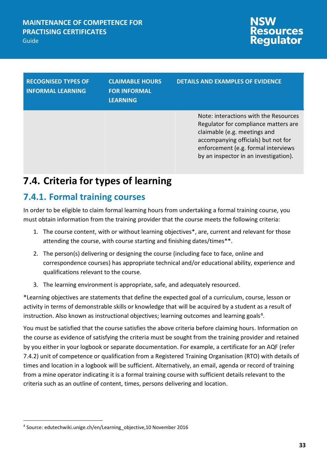| <b>RECOGNISED TYPES OF</b><br><b>INFORMAL LEARNING</b> | <b>CLAIMABLE HOURS</b><br><b>FOR INFORMAL</b><br><b>LEARNING</b> | <b>DETAILS AND EXAMPLES OF EVIDENCE</b>                                                                                                                                                                                              |
|--------------------------------------------------------|------------------------------------------------------------------|--------------------------------------------------------------------------------------------------------------------------------------------------------------------------------------------------------------------------------------|
|                                                        |                                                                  | Note: interactions with the Resources<br>Regulator for compliance matters are<br>claimable (e.g. meetings and<br>accompanying officials) but not for<br>enforcement (e.g. formal interviews<br>by an inspector in an investigation). |

## <span id="page-32-0"></span>**7.4. Criteria for types of learning**

### <span id="page-32-1"></span>**7.4.1. Formal training courses**

In order to be eligible to claim formal learning hours from undertaking a formal training course, you must obtain information from the training provider that the course meets the following criteria:

- 1. The course content, with or without learning objectives\*, are, current and relevant for those attending the course, with course starting and finishing dates/times\*\*.
- 2. The person(s) delivering or designing the course (including face to face, online and correspondence courses) has appropriate technical and/or educational ability, experience and qualifications relevant to the course.
- 3. The learning environment is appropriate, safe, and adequately resourced.

\*Learning objectives are statements that define the expected goal of a curriculum, course, lesson or activity in terms of demonstrable skills or knowledge that will be acquired by a student as a result of instruction. Also known as instructional objectives; learning outcomes and learning goals<sup>4</sup>.

You must be satisfied that the course satisfies the above criteria before claiming hours. Information on the course as evidence of satisfying the criteria must be sought from the training provider and retained by you either in your logbook or separate documentation. For example, a certificate for an AQF (refer 7.4.2) unit of competence or qualification from a Registered Training Organisation (RTO) with details of times and location in a logbook will be sufficient. Alternatively, an email, agenda or record of training from a mine operator indicating it is a formal training course with sufficient details relevant to the criteria such as an outline of content, times, persons delivering and location.

<sup>4</sup> Source: edutechwiki.unige.ch/en/Learning\_objective,10 November 2016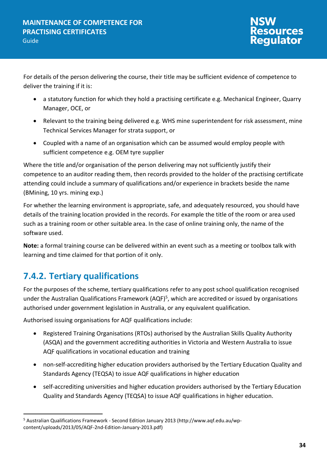For details of the person delivering the course, their title may be sufficient evidence of competence to deliver the training if it is:

- a statutory function for which they hold a practising certificate e.g. Mechanical Engineer, Quarry Manager, OCE, or
- Relevant to the training being delivered e.g. WHS mine superintendent for risk assessment, mine Technical Services Manager for strata support, or
- Coupled with a name of an organisation which can be assumed would employ people with sufficient competence e.g. OEM tyre supplier

Where the title and/or organisation of the person delivering may not sufficiently justify their competence to an auditor reading them, then records provided to the holder of the practising certificate attending could include a summary of qualifications and/or experience in brackets beside the name (BMining, 10 yrs. mining exp.)

For whether the learning environment is appropriate, safe, and adequately resourced, you should have details of the training location provided in the records. For example the title of the room or area used such as a training room or other suitable area. In the case of online training only, the name of the software used.

**Note:** a formal training course can be delivered within an event such as a meeting or toolbox talk with learning and time claimed for that portion of it only.

### <span id="page-33-0"></span>**7.4.2. Tertiary qualifications**

For the purposes of the scheme, tertiary qualifications refer to any post school qualification recognised under the Australian Qualifications Framework (AQF)<sup>5</sup>, which are accredited or issued by organisations authorised under government legislation in Australia, or any equivalent qualification.

Authorised issuing organisations for AQF qualifications include:

- Registered Training Organisations (RTOs) authorised by the Australian Skills Quality Authority (ASQA) and the government accrediting authorities in Victoria and Western Australia to issue AQF qualifications in vocational education and training
- non-self-accrediting higher education providers authorised by the Tertiary Education Quality and Standards Agency (TEQSA) to issue AQF qualifications in higher education
- self-accrediting universities and higher education providers authorised by the Tertiary Education Quality and Standards Agency (TEQSA) to issue AQF qualifications in higher education.

<sup>5</sup> Australian Qualifications Framework - Second Edition January 2013 (http://www.aqf.edu.au/wpcontent/uploads/2013/05/AQF-2nd-Edition-January-2013.pdf)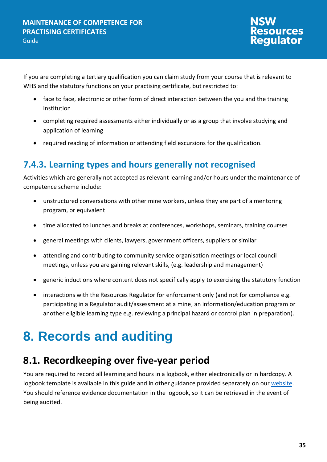If you are completing a tertiary qualification you can claim study from your course that is relevant to WHS and the statutory functions on your practising certificate, but restricted to:

- face to face, electronic or other form of direct interaction between the you and the training institution
- completing required assessments either individually or as a group that involve studying and application of learning
- required reading of information or attending field excursions for the qualification.

### <span id="page-34-0"></span>**7.4.3. Learning types and hours generally not recognised**

Activities which are generally not accepted as relevant learning and/or hours under the maintenance of competence scheme include:

- unstructured conversations with other mine workers, unless they are part of a mentoring program, or equivalent
- time allocated to lunches and breaks at conferences, workshops, seminars, training courses
- general meetings with clients, lawyers, government officers, suppliers or similar
- attending and contributing to community service organisation meetings or local council meetings, unless you are gaining relevant skills, (e.g. leadership and management)
- generic inductions where content does not specifically apply to exercising the statutory function
- interactions with the Resources Regulator for enforcement only (and not for compliance e.g. participating in a Regulator audit/assessment at a mine, an information/education program or another eligible learning type e.g. reviewing a principal hazard or control plan in preparation).

# <span id="page-34-1"></span>**8. Records and auditing**

### <span id="page-34-2"></span>**8.1. Recordkeeping over five-year period**

You are required to record all learning and hours in a logbook, either electronically or in hardcopy. A logbook template is available in this guide and in other guidance provided separately on our [website.](https://www.resourcesregulator.nsw.gov.au/safety-and-health/applications/mining-competence/practising-certificates/maintenance-of-competence) You should reference evidence documentation in the logbook, so it can be retrieved in the event of being audited.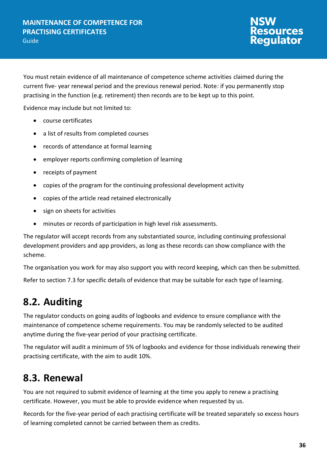You must retain evidence of all maintenance of competence scheme activities claimed during the current five- year renewal period and the previous renewal period. Note: if you permanently stop practising in the function (e.g. retirement) then records are to be kept up to this point.

Evidence may include but not limited to:

- course certificates
- a list of results from completed courses
- records of attendance at formal learning
- employer reports confirming completion of learning
- receipts of payment
- copies of the program for the continuing professional development activity
- copies of the article read retained electronically
- sign on sheets for activities
- minutes or records of participation in high level risk assessments.

The regulator will accept records from any substantiated source, including continuing professional development providers and app providers, as long as these records can show compliance with the scheme.

The organisation you work for may also support you with record keeping, which can then be submitted.

Refer to section 7.3 for specific details of evidence that may be suitable for each type of learning.

## <span id="page-35-0"></span>**8.2. Auditing**

The regulator conducts on going audits of logbooks and evidence to ensure compliance with the maintenance of competence scheme requirements. You may be randomly selected to be audited anytime during the five-year period of your practising certificate.

The regulator will audit a minimum of 5% of logbooks and evidence for those individuals renewing their practising certificate, with the aim to audit 10%.

## <span id="page-35-1"></span>**8.3. Renewal**

You are not required to submit evidence of learning at the time you apply to renew a practising certificate. However, you must be able to provide evidence when requested by us.

Records for the five-year period of each practising certificate will be treated separately so excess hours of learning completed cannot be carried between them as credits.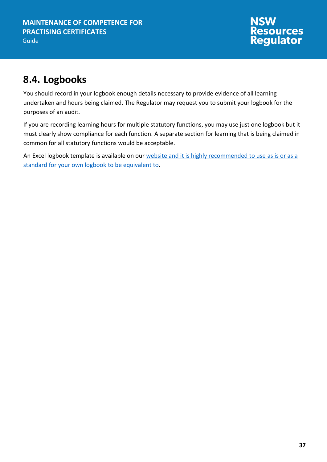## <span id="page-36-0"></span>**8.4. Logbooks**

You should record in your logbook enough details necessary to provide evidence of all learning undertaken and hours being claimed. The Regulator may request you to submit your logbook for the purposes of an audit.

If you are recording learning hours for multiple statutory functions, you may use just one logbook but it must clearly show compliance for each function. A separate section for learning that is being claimed in common for all statutory functions would be acceptable.

An Excel logbook template is available on our [website](https://www.resourcesregulator.nsw.gov.au/safety-and-health/applications/mining-competence/practising-certificates/maintenance-of-competence) and it is highly recommended to use as is or as a standard for your own logbook to be equivalent to.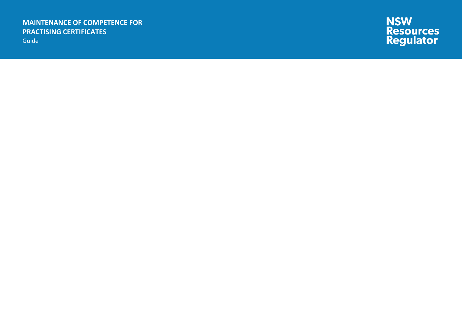Guide

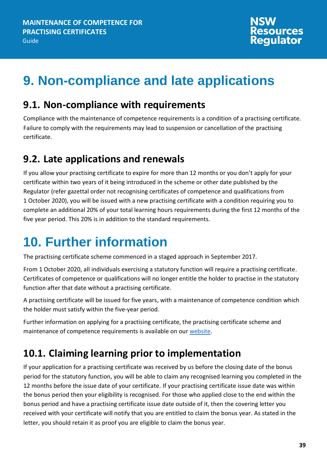# <span id="page-38-0"></span>**9. Non-compliance and late applications**

### <span id="page-38-1"></span>**9.1. Non-compliance with requirements**

Compliance with the maintenance of competence requirements is a condition of a practising certificate. Failure to comply with the requirements may lead to suspension or cancellation of the practising certificate.

## <span id="page-38-2"></span>**9.2. Late applications and renewals**

If you allow your practising certificate to expire for more than 12 months or you don't apply for your certificate within two years of it being introduced in the scheme or other date published by the Regulator (refer gazettal order not recognising certificates of competence and qualifications from 1 October 2020), you will be issued with a new practising certificate with a condition requiring you to complete an additional 20% of your total learning hours requirements during the first 12 months of the five year period. This 20% is in addition to the standard requirements.

# <span id="page-38-3"></span>**10. Further information**

The practising certificate scheme commenced in a staged approach in September 2017.

From 1 October 2020, all individuals exercising a statutory function will require a practising certificate. Certificates of competence or qualifications will no longer entitle the holder to practise in the statutory function after that date without a practising certificate.

A practising certificate will be issued for five years, with a maintenance of competence condition which the holder must satisfy within the five-year period.

Further information on applying for a practising certificate, the practising certificate scheme and maintenance of competence requirements is available on our [website.](https://www.resourcesregulator.nsw.gov.au/safety-and-health/applications/mining-competence/practising-certificates/maintenance-of-competence)

## <span id="page-38-4"></span>**10.1. Claiming learning prior to implementation**

If your application for a practising certificate was received by us before the closing date of the bonus period for the statutory function, you will be able to claim any recognised learning you completed in the 12 months before the issue date of your certificate. If your practising certificate issue date was within the bonus period then your eligibility is recognised. For those who applied close to the end within the bonus period and have a practising certificate issue date outside of it, then the covering letter you received with your certificate will notify that you are entitled to claim the bonus year. As stated in the letter, you should retain it as proof you are eligible to claim the bonus year.